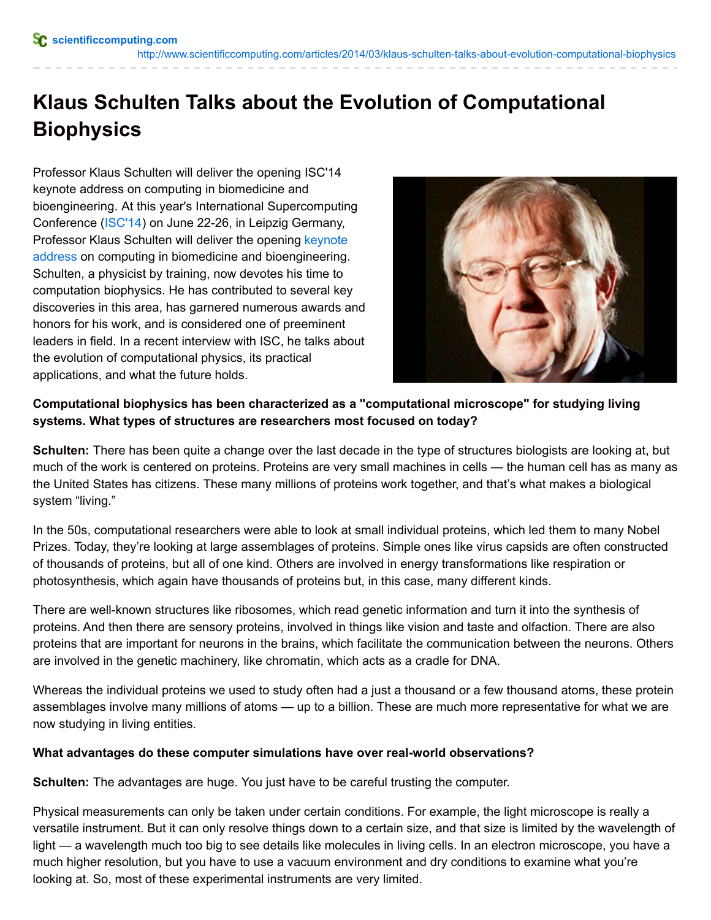<http://www.scientificcomputing.com/articles/2014/03/klaus-schulten-talks-about-evolution-computational-biophysics>

# **Klaus Schulten Talks about the Evolution of Computational Biophysics**

Professor Klaus Schulten will deliver the opening ISC'14 keynote address on computing in biomedicine and bioengineering. At this year's International Supercomputing Conference [\(ISC'14](http://www.isc-events.com/ct.php?id=98)) on June 22-26, in Leipzig Germany, Professor Klaus Schulten will deliver the opening keynote address on computing in biomedicine and [bioengineering.](http://www.isc-events.com/ct.php?id=99) Schulten, a physicist by training, now devotes his time to computation biophysics. He has contributed to several key discoveries in this area, has garnered numerous awards and honors for his work, and is considered one of preeminent leaders in field. In a recent interview with ISC, he talks about the evolution of computational physics, its practical applications, and what the future holds.



# **Computational biophysics has been characterized as a "computational microscope" for studying living systems. What types of structures are researchers most focused on today?**

**Schulten:** There has been quite a change over the last decade in the type of structures biologists are looking at, but much of the work is centered on proteins. Proteins are very small machines in cells — the human cell has as many as the United States has citizens. These many millions of proteins work together, and that's what makes a biological system "living."

In the 50s, computational researchers were able to look at small individual proteins, which led them to many Nobel Prizes. Today, they're looking at large assemblages of proteins. Simple ones like virus capsids are often constructed of thousands of proteins, but all of one kind. Others are involved in energy transformations like respiration or photosynthesis, which again have thousands of proteins but, in this case, many different kinds.

There are well-known structures like ribosomes, which read genetic information and turn it into the synthesis of proteins. And then there are sensory proteins, involved in things like vision and taste and olfaction. There are also proteins that are important for neurons in the brains, which facilitate the communication between the neurons. Others are involved in the genetic machinery, like chromatin, which acts as a cradle for DNA.

Whereas the individual proteins we used to study often had a just a thousand or a few thousand atoms, these protein assemblages involve many millions of atoms — up to a billion. These are much more representative for what we are now studying in living entities.

#### **What advantages do these computer simulations have over real-world observations?**

**Schulten:** The advantages are huge. You just have to be careful trusting the computer.

Physical measurements can only be taken under certain conditions. For example, the light microscope is really a versatile instrument. But it can only resolve things down to a certain size, and that size is limited by the wavelength of light — a wavelength much too big to see details like molecules in living cells. In an electron microscope, you have a much higher resolution, but you have to use a vacuum environment and dry conditions to examine what you're looking at. So, most of these experimental instruments are very limited.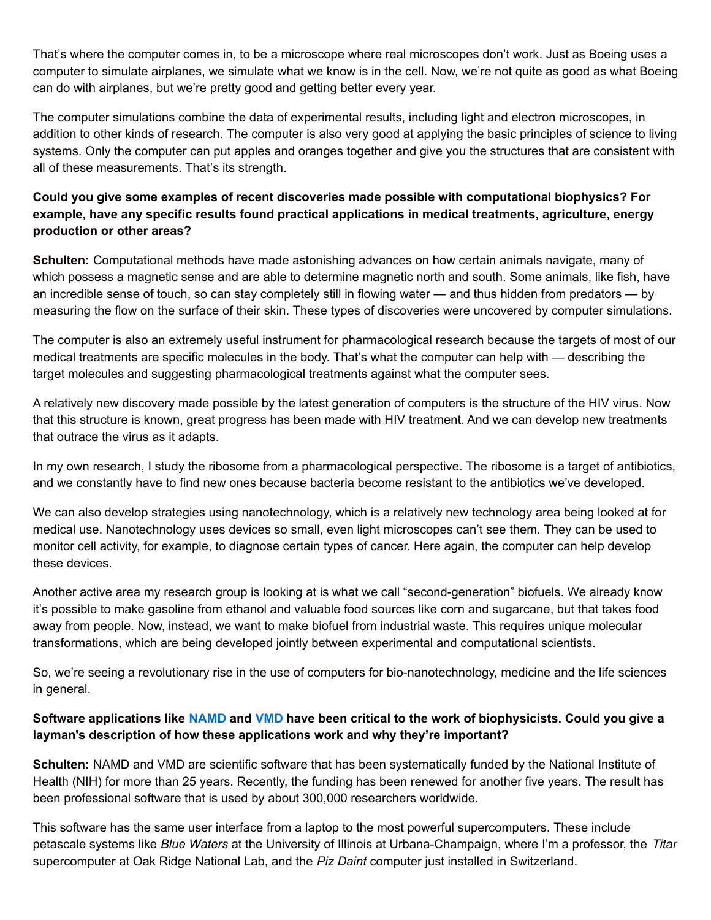That's where the computer comes in, to be a microscope where real microscopes don't work. Just as Boeing uses a computer to simulate airplanes, we simulate what we know is in the cell. Now, we're not quite as good as what Boeing can do with airplanes, but we're pretty good and getting better every year.

The computer simulations combine the data of experimental results, including light and electron microscopes, in addition to other kinds of research. The computer is also very good at applying the basic principles of science to living systems. Only the computer can put apples and oranges together and give you the structures that are consistent with all of these measurements. That's its strength.

# **Could you give some examples of recent discoveries made possible with computational biophysics? For example, have any specific results found practical applications in medical treatments, agriculture, energy production or other areas?**

**Schulten:** Computational methods have made astonishing advances on how certain animals navigate, many of which possess a magnetic sense and are able to determine magnetic north and south. Some animals, like fish, have an incredible sense of touch, so can stay completely still in flowing water — and thus hidden from predators — by measuring the flow on the surface of their skin. These types of discoveries were uncovered by computer simulations.

The computer is also an extremely useful instrument for pharmacological research because the targets of most of our medical treatments are specific molecules in the body. That's what the computer can help with — describing the target molecules and suggesting pharmacological treatments against what the computer sees.

A relatively new discovery made possible by the latest generation of computers is the structure of the HIV virus. Now that this structure is known, great progress has been made with HIV treatment. And we can develop new treatments that outrace the virus as it adapts.

In my own research, I study the ribosome from a pharmacological perspective. The ribosome is a target of antibiotics, and we constantly have to find new ones because bacteria become resistant to the antibiotics we've developed.

We can also develop strategies using nanotechnology, which is a relatively new technology area being looked at for medical use. Nanotechnology uses devices so small, even light microscopes can't see them. They can be used to monitor cell activity, for example, to diagnose certain types of cancer. Here again, the computer can help develop these devices.

Another active area my research group is looking at is what we call "second-generation" biofuels. We already know it's possible to make gasoline from ethanol and valuable food sources like corn and sugarcane, but that takes food away from people. Now, instead, we want to make biofuel from industrial waste. This requires unique molecular transformations, which are being developed jointly between experimental and computational scientists.

So, we're seeing a revolutionary rise in the use of computers for bio-nanotechnology, medicine and the life sciences in general.

# Software applications like [NAMD](http://www.ks.uiuc.edu/Research/namd/) and [VMD](http://www.ks.uiuc.edu/Research/vmd/) have been critical to the work of biophysicists. Could you give a **layman's description of how these applications work and why they're important?**

**Schulten:** NAMD and VMD are scientific software that has been systematically funded by the National Institute of Health (NIH) for more than 25 years. Recently, the funding has been renewed for another five years. The result has been professional software that is used by about 300,000 researchers worldwide.

This software has the same user interface from a laptop to the most powerful supercomputers. These include petascale systems like *Blue Waters* at the University of Illinois at Urbana-Champaign, where I'm a professor, the *Titan* supercomputer at Oak Ridge National Lab, and the *Piz Daint* computer just installed in Switzerland.